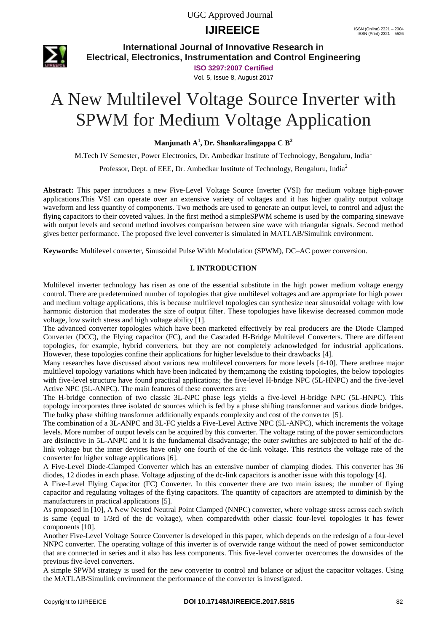# **IJIREEICE ISSN** (Online) 2321 – 2004



**International Journal of Innovative Research in Electrical, Electronics, Instrumentation and Control Engineering**

**ISO 3297:2007 Certified**

Vol. 5, Issue 8, August 2017

# A New Multilevel Voltage Source Inverter with SPWM for Medium Voltage Application

**Manjunath A<sup>1</sup> , Dr. Shankaralingappa C B<sup>2</sup>**

M.Tech IV Semester, Power Electronics, Dr. Ambedkar Institute of Technology, Bengaluru, India<sup>1</sup>

Professor, Dept. of EEE, Dr. Ambedkar Institute of Technology, Bengaluru, India<sup>2</sup>

**Abstract:** This paper introduces a new Five-Level Voltage Source Inverter (VSI) for medium voltage high-power applications.This VSI can operate over an extensive variety of voltages and it has higher quality output voltage waveform and less quantity of components. Two methods are used to generate an output level, to control and adjust the flying capacitors to their coveted values. In the first method a simpleSPWM scheme is used by the comparing sinewave with output levels and second method involves comparison between sine wave with triangular signals. Second method gives better performance. The proposed five level converter is simulated in MATLAB/Simulink environment.

**Keywords:** Multilevel converter, Sinusoidal Pulse Width Modulation (SPWM), DC–AC power conversion.

#### **I. INTRODUCTION**

Multilevel inverter technology has risen as one of the essential substitute in the high power medium voltage energy control. There are predetermined number of topologies that give multilevel voltages and are appropriate for high power and medium voltage applications, this is because multilevel topologies can synthesize near sinusoidal voltage with low harmonic distortion that moderates the size of output filter. These topologies have likewise decreased common mode voltage, low switch stress and high voltage ability [1].

The advanced converter topologies which have been marketed effectively by real producers are the Diode Clamped Converter (DCC), the Flying capacitor (FC), and the Cascaded H-Bridge Multilevel Converters. There are different topologies, for example, hybrid converters, but they are not completely acknowledged for industrial applications. However, these topologies confine their applications for higher levelsdue to their drawbacks [4].

Many researches have discussed about various new multilevel converters for more levels [4-10]. There arethree major multilevel topology variations which have been indicated by them;among the existing topologies, the below topologies with five-level structure have found practical applications; the five-level H-bridge NPC (5L-HNPC) and the five-level Active NPC (5L-ANPC). The main features of these converters are:

The H-bridge connection of two classic 3L-NPC phase legs yields a five-level H-bridge NPC (5L-HNPC). This topology incorporates three isolated dc sources which is fed by a phase shifting transformer and various diode bridges. The bulky phase shifting transformer additionally expands complexity and cost of the converter [5].

The combination of a 3L-ANPC and 3L-FC yields a Five-Level Active NPC (5L-ANPC), which increments the voltage levels. More number of output levels can be acquired by this converter. The voltage rating of the power semiconductors are distinctive in 5L-ANPC and it is the fundamental disadvantage; the outer switches are subjected to half of the dclink voltage but the inner devices have only one fourth of the dc-link voltage. This restricts the voltage rate of the converter for higher voltage applications [6].

A Five-Level Diode-Clamped Converter which has an extensive number of clamping diodes. This converter has 36 diodes, 12 diodes in each phase. Voltage adjusting of the dc-link capacitors is another issue with this topology [4].

A Five-Level Flying Capacitor (FC) Converter. In this converter there are two main issues; the number of flying capacitor and regulating voltages of the flying capacitors. The quantity of capacitors are attempted to diminish by the manufacturers in practical applications [5].

As proposed in [10], A New Nested Neutral Point Clamped (NNPC) converter, where voltage stress across each switch is same (equal to 1/3rd of the dc voltage), when comparedwith other classic four-level topologies it has fewer components [10].

Another Five-Level Voltage Source Converter is developed in this paper, which depends on the redesign of a four-level NNPC converter. The operating voltage of this inverter is of overwide range without the need of power semiconductor that are connected in series and it also has less components. This five-level converter overcomes the downsides of the previous five-level converters.

A simple SPWM strategy is used for the new converter to control and balance or adjust the capacitor voltages. Using the MATLAB/Simulink environment the performance of the converter is investigated.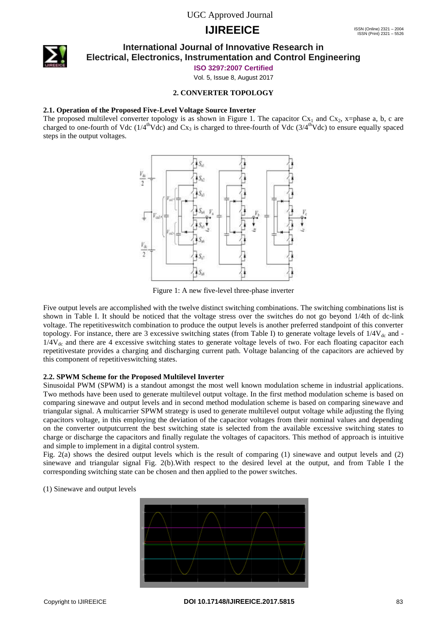# **IJIREEICE ISSN** (Online) 2321 – 2004



### **International Journal of Innovative Research in Electrical, Electronics, Instrumentation and Control Engineering**

**ISO 3297:2007 Certified**

Vol. 5, Issue 8, August 2017

#### **2. CONVERTER TOPOLOGY**

#### **2.1. Operation of the Proposed Five-Level Voltage Source Inverter**

The proposed multilevel converter topology is as shown in Figure 1. The capacitor  $Cx_1$  and  $Cx_2$ , x=phase a, b, c are charged to one-fourth of Vdc ( $1/4^{\text{th}}$ Vdc) and Cx<sub>3</sub> is charged to three-fourth of Vdc ( $3/4^{\text{th}}$ Vdc) to ensure equally spaced steps in the output voltages.



Figure 1: A new five-level three-phase inverter

Five output levels are accomplished with the twelve distinct switching combinations. The switching combinations list is shown in Table I. It should be noticed that the voltage stress over the switches do not go beyond 1/4th of dc-link voltage. The repetitiveswitch combination to produce the output levels is another preferred standpoint of this converter topology. For instance, there are 3 excessive switching states (from Table I) to generate voltage levels of  $1/4V_{dc}$  and - $1/4V_{dc}$  and there are 4 excessive switching states to generate voltage levels of two. For each floating capacitor each repetitivestate provides a charging and discharging current path. Voltage balancing of the capacitors are achieved by this component of repetitiveswitching states.

#### **2.2. SPWM Scheme for the Proposed Multilevel Inverter**

Sinusoidal PWM (SPWM) is a standout amongst the most well known modulation scheme in industrial applications. Two methods have been used to generate multilevel output voltage. In the first method modulation scheme is based on comparing sinewave and output levels and in second method modulation scheme is based on comparing sinewave and triangular signal. A multicarrier SPWM strategy is used to generate multilevel output voltage while adjusting the flying capacitors voltage, in this employing the deviation of the capacitor voltages from their nominal values and depending on the converter outputcurrent the best switching state is selected from the available excessive switching states to charge or discharge the capacitors and finally regulate the voltages of capacitors. This method of approach is intuitive and simple to implement in a digital control system.

Fig. 2(a) shows the desired output levels which is the result of comparing (1) sinewave and output levels and (2) sinewave and triangular signal Fig. 2(b).With respect to the desired level at the output, and from Table I the corresponding switching state can be chosen and then applied to the power switches.

#### (1) Sinewave and output levels

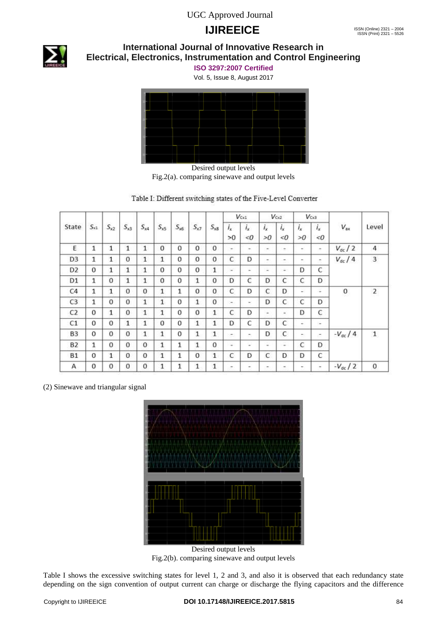# **IJIREEICE ISSN** (Online) 2321 – 2004



# **International Journal of Innovative Research in Electrical, Electronics, Instrumentation and Control Engineering**

**ISO 3297:2007 Certified**

Vol. 5, Issue 8, August 2017



Fig.2(a). comparing sinewave and output levels

| Table I: Different switching states of the Five-Level Converter |  |  |  |  |  |
|-----------------------------------------------------------------|--|--|--|--|--|
|-----------------------------------------------------------------|--|--|--|--|--|

|                |              |              |              |              |              |                 |              |              |               | $V_{\text{Cx1}}$         |                          | $V_{\text{Cx2}}$ |               | Vos                      |                       |                |
|----------------|--------------|--------------|--------------|--------------|--------------|-----------------|--------------|--------------|---------------|--------------------------|--------------------------|------------------|---------------|--------------------------|-----------------------|----------------|
| State          | $S_{x1}$     | $S_{x2}$     | $S_{x3}$     | $S_{x4}$     | $S_{x5}$     | $S_{\text{xB}}$ | $S_{x7}$     | $S_{x8}$     | $i_{x}$<br>>0 | $i_{x}$<br>< 0           | $i_{x}$<br>>0            | $i_{x}$<br><0    | $i_{x}$<br>>0 | $i_{x}$<br>< 0           | Level<br>$V_{\rm ax}$ |                |
| E              | 1            | $\mathbf{1}$ | 1            | $\mathbf{1}$ | $\Omega$     | 0               | $\Omega$     | $\Omega$     | $\sim$        | $\sim$                   | $\sim$                   | $\sim$           | $\sim$        | ۰                        | $V_{dc}$ / 2          | 4              |
| D <sub>3</sub> | 1            | $\mathbf{1}$ | $\mathbf{O}$ | $\mathbf{1}$ | $\mathbf{1}$ | 0               | $\mathbf{0}$ | $\mathbf{0}$ | $\mathsf{C}$  | D                        | $\overline{\phantom{a}}$ | ۰                | ۰             | Ξ                        | $V_{dc}$ / 4          | $\mathbf{3}$   |
| D <sub>2</sub> | 0            | $\mathbf{1}$ | 1            | 1            | $\mathbf{O}$ | 0               | $\mathbf{O}$ | 1            | $\sim$        | $\sim$                   | ×                        | $\equiv$         | D             | C                        |                       |                |
| D <sub>1</sub> | $\mathbf{1}$ | $\Omega$     | $\mathbf{1}$ | $\mathbf{1}$ | $\Omega$     | 0               | $\mathbf{1}$ | $\bf{0}$     | D             | C                        | D                        | C                | C             | D                        |                       |                |
| C <sub>4</sub> | 1            | 1            | 0            | $\theta$     | 1            | 1               | $\mathbf{0}$ | $\mathbf{0}$ | C             | D                        | C                        | D                | ÷             | ٠                        | $\boldsymbol{0}$      | $\overline{2}$ |
| C3             | $\mathbf{1}$ | $\Omega$     | $\Omega$     | $\mathbf{1}$ | $\mathbf{1}$ | 0               | $\mathbf{1}$ | $\Omega$     | $\sim$        | $\overline{\phantom{a}}$ | D                        | C                | C             | D                        |                       |                |
| C <sub>2</sub> | 0            | $\mathbf{1}$ | $\Omega$     | $\mathbf{1}$ | $\mathbf{1}$ | 0               | $\Omega$     | $\mathbf{1}$ | $\mathsf{C}$  | D                        | $\overline{\phantom{a}}$ | ۰                | D             | C                        |                       |                |
| C1             | $\mathbf{0}$ | $\mathbf{0}$ | 1            | $\mathbf{1}$ | 0            | 0               | $\mathbf{1}$ | $\mathbf{1}$ | D             | C                        | D                        | C                |               | $\overline{\phantom{a}}$ |                       |                |
| B <sub>3</sub> | 0            | $\mathbf{0}$ | 0            | $\mathbf{1}$ | $\mathbf{1}$ | 0               | 1            | $\mathbf{1}$ | ÷.            | ÷                        | D                        | C                | $\sim$        | ×                        | $-V_{dc}$ / 4         | $\mathbf 1$    |
| <b>B2</b>      | 1            | $\Omega$     | $\Omega$     | $\mathbf{0}$ | $\mathbf{1}$ | $\mathbf{1}$    | 1            | $\Omega$     | $\sim$        | ٠                        | $\sim$                   | ۰                | C             | D                        |                       |                |
| <b>B1</b>      | $\Omega$     | $\mathbf{1}$ | $\Omega$     | $\mathbf{0}$ | $\mathbf{1}$ | $\mathbf{1}$    | $\mathbf{0}$ | $\mathbf{1}$ | C             | D                        | C                        | D                | D             | C                        |                       |                |
| Α              | 0            | 0            | 0            | $\circ$      | 1            | 1               | 1            | 1            | -             | -                        | ۰                        | -                | ۰             | $\overline{\phantom{a}}$ | $-V_{\text{dc}}/2$    | $\bf{0}$       |

(2) Sinewave and triangular signal



Desired output levels Fig.2(b). comparing sinewave and output levels

Table I shows the excessive switching states for level 1, 2 and 3, and also it is observed that each redundancy state depending on the sign convention of output current can charge or discharge the flying capacitors and the difference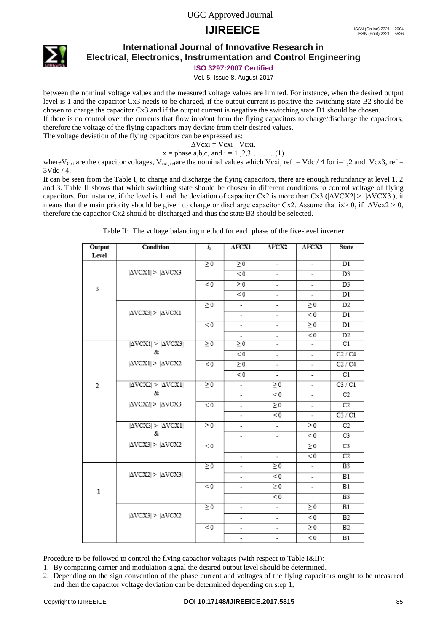# **IJIREEICE ISSN** (Online) 2321 – 2004



## **International Journal of Innovative Research in Electrical, Electronics, Instrumentation and Control Engineering**

**ISO 3297:2007 Certified**

Vol. 5, Issue 8, August 2017

between the nominal voltage values and the measured voltage values are limited. For instance, when the desired output level is 1 and the capacitor Cx3 needs to be charged, if the output current is positive the switching state B2 should be chosen to charge the capacitor Cx3 and if the output current is negative the switching state B1 should be chosen. If there is no control over the currents that flow into/out from the flying capacitors to charge/discharge the capacitors, therefore the voltage of the flying capacitors may deviate from their desired values.

The voltage deviation of the flying capacitors can be expressed as:

 $\Delta Vcxi = Vcxi - Vcxi$ ,

 $x =$  phase a,b,c, and  $i = 1, 2, 3, \dots, (1)$ 

where V<sub>Cxi</sub> are the capacitor voltages, V<sub>cxi, ref</sub>are the nominal values which Vcxi, ref = Vdc / 4 for i=1,2 and Vcx3, ref = 3Vdc / 4.

It can be seen from the Table I, to charge and discharge the flying capacitors, there are enough redundancy at level 1, 2 and 3. Table II shows that which switching state should be chosen in different conditions to control voltage of flying capacitors. For instance, if the level is 1 and the deviation of capacitor Cx2 is more than Cx3 ( $|\Delta$ VCX2| >  $|\Delta$ VCX3|), it means that the main priority should be given to charge or discharge capacitor Cx2. Assume that ix $> 0$ , if  $\Delta Vcx2 > 0$ , therefore the capacitor Cx2 should be discharged and thus the state B3 should be selected.

| Table II: The voltage balancing method for each phase of the five-level inverter |  |  |  |  |
|----------------------------------------------------------------------------------|--|--|--|--|
|                                                                                  |  |  |  |  |

| Output | Condition                                        | $i_x$    | $\Delta V$ CXI           | $\triangle V\text{C}X2$  | $\Delta V\text{CX}3$     | <b>State</b>    |
|--------|--------------------------------------------------|----------|--------------------------|--------------------------|--------------------------|-----------------|
| Level  |                                                  |          |                          |                          |                          |                 |
|        |                                                  | $\geq 0$ | $\geq 0$                 | $\overline{\phantom{a}}$ | $\overline{\phantom{a}}$ | $\overline{D1}$ |
|        | $ \Delta \text{VCX1}  \geq  \Delta \text{VCX3} $ |          | < 0                      | -                        | $\overline{\phantom{a}}$ | D <sub>3</sub>  |
| 3      |                                                  | < 0      | $\geq 0$                 | ٠                        | $\overline{\phantom{a}}$ | D <sub>3</sub>  |
|        |                                                  |          | < 0                      | -                        | $\overline{\phantom{a}}$ | $\overline{D1}$ |
|        |                                                  | $\geq 0$ | $\overline{\phantom{a}}$ | -                        | $\geq 0$                 | D <sub>2</sub>  |
|        | $ \Delta \text{VCX3}  >  \Delta \text{VCX1} $    |          | $\overline{\phantom{a}}$ | $\frac{1}{2}$            | < 0                      | D1              |
|        |                                                  | < 0      | $\overline{\phantom{a}}$ | $\overline{\phantom{a}}$ | $\geq 0$                 | $\overline{D1}$ |
|        |                                                  |          | $\overline{\phantom{a}}$ | -                        | < 0                      | D2              |
|        | $ \Delta$ VCX1  > $ \Delta$ VCX3                 | $\geq 0$ | $\geq 0$                 |                          | $\overline{\phantom{a}}$ | C1              |
|        | &                                                |          | < 0                      | -                        | -                        | C2 / C4         |
|        | $ \Delta \text{VCX1}  >  \Delta \text{VCX2} $    | < 0      | $\geq 0$                 | $\overline{a}$           | $\overline{\phantom{a}}$ | C2/C4           |
|        |                                                  |          | < 0                      |                          | $\overline{\phantom{a}}$ | C1              |
| 2      | $ \Delta$ VCX2 $  >  \Delta$ VCX1 $ $            | $\geq 0$ | $\overline{\phantom{a}}$ | $\geq 0$                 | $\overline{\phantom{a}}$ | C3 / C1         |
|        | &                                                |          | $\overline{\phantom{a}}$ | < 0                      | $\overline{\phantom{a}}$ | C2              |
|        | $ \Delta \text{VCX2}  >  \Delta \text{VCX3} $    | < 0      | $\overline{\phantom{a}}$ | $\geq 0$                 | $\overline{\phantom{a}}$ | C2              |
|        |                                                  |          | -                        | < 0                      | $\overline{\phantom{a}}$ | C3 / C1         |
|        | $ \Delta$ VCX3 $  >  \Delta$ VCX1 $ $            | $\geq 0$ | -                        |                          | $\geq 0$                 | C2              |
|        | &                                                |          | $\overline{\phantom{0}}$ | $\overline{\phantom{0}}$ | < 0                      | C <sub>3</sub>  |
|        | $ \Delta \text{VCX3}  >  \Delta \text{VCX2} $    | < 0      | -                        | -                        | $\geq 0$                 | C <sub>3</sub>  |
|        |                                                  |          | $\overline{\phantom{a}}$ | ٠                        | < 0                      | C2              |
|        |                                                  | $\geq 0$ | $\overline{\phantom{0}}$ | $\geq 0$                 | $\overline{\phantom{a}}$ | B <sub>3</sub>  |
|        | $ \Delta \text{VCX2}  \geq  \Delta \text{VCX3} $ |          | $\overline{\phantom{a}}$ | < 0                      | $\overline{\phantom{a}}$ | B1              |
| ı      |                                                  | < 0      | -                        | $\geq 0$                 | $\overline{\phantom{a}}$ | B1              |
|        |                                                  |          | $\overline{\phantom{a}}$ | < 0                      | $\overline{\phantom{a}}$ | B <sub>3</sub>  |
|        |                                                  | $\geq 0$ | $\overline{\phantom{0}}$ | $\frac{1}{2}$            | $\geq 0$                 | B1              |
|        | $ \Delta \text{VCX3}  \geq  \Delta \text{VCX2} $ |          | $\overline{\phantom{0}}$ | $\overline{a}$           | < 0                      | B2              |
|        |                                                  | < 0      | -                        | -                        | $\geq 0$                 | B2              |
|        |                                                  |          | -                        | -                        | < 0                      | B1              |

Procedure to be followed to control the flying capacitor voltages (with respect to Table I&II):

- 1. By comparing carrier and modulation signal the desired output level should be determined.
- 2. Depending on the sign convention of the phase current and voltages of the flying capacitors ought to be measured and then the capacitor voltage deviation can be determined depending on step 1,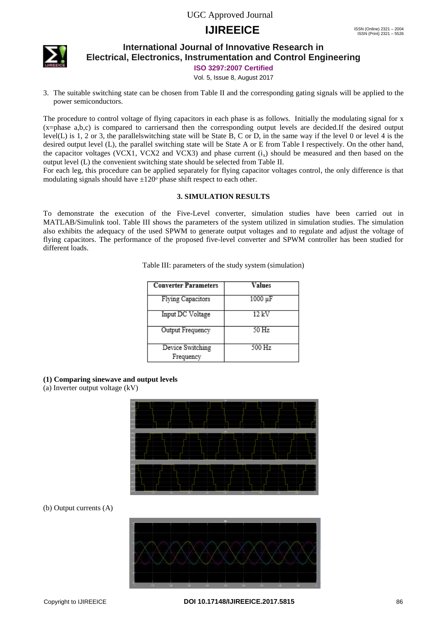# **IJIREEICE ISSN** (Online) 2321 – 2004



### **International Journal of Innovative Research in Electrical, Electronics, Instrumentation and Control Engineering**

**ISO 3297:2007 Certified**

Vol. 5, Issue 8, August 2017

3. The suitable switching state can be chosen from Table II and the corresponding gating signals will be applied to the power semiconductors.

The procedure to control voltage of flying capacitors in each phase is as follows. Initially the modulating signal for x (x=phase a,b,c) is compared to carriersand then the corresponding output levels are decided.If the desired output level(L) is 1, 2 or 3, the parallelswitching state will be State B, C or D, in the same way if the level 0 or level 4 is the desired output level (L), the parallel switching state will be State A or E from Table I respectively. On the other hand, the capacitor voltages (VCX1, VCX2 and VCX3) and phase current  $(i<sub>x</sub>)$  should be measured and then based on the output level (L) the convenient switching state should be selected from Table II.

For each leg, this procedure can be applied separately for flying capacitor voltages control, the only difference is that modulating signals should have  $\pm 120^\circ$  phase shift respect to each other.

#### **3. SIMULATION RESULTS**

To demonstrate the execution of the Five-Level converter, simulation studies have been carried out in MATLAB/Simulink tool. Table III shows the parameters of the system utilized in simulation studies. The simulation also exhibits the adequacy of the used SPWM to generate output voltages and to regulate and adjust the voltage of flying capacitors. The performance of the proposed five-level converter and SPWM controller has been studied for different loads.

| Table III: parameters of the study system (simulation) |  |  |  |  |  |  |  |
|--------------------------------------------------------|--|--|--|--|--|--|--|
|--------------------------------------------------------|--|--|--|--|--|--|--|

| <b>Converter Parameters</b>   | Values  |
|-------------------------------|---------|
| Flying Capacitors             | 1000 μF |
| Input DC Voltage              | 12 kV   |
| Output Frequency              | $50$ Hz |
| Device Switching<br>Frequency | 500 Hz  |

**(1) Comparing sinewave and output levels** 

(a) Inverter output voltage (kV)



#### (b) Output currents (A)

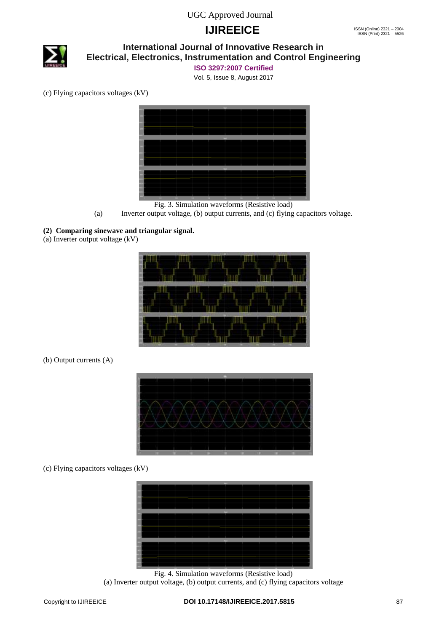# **IJIREEICE ISSN** (Online) 2321 – 2004



## **International Journal of Innovative Research in Electrical, Electronics, Instrumentation and Control Engineering**

**ISO 3297:2007 Certified**

Vol. 5, Issue 8, August 2017

(c) Flying capacitors voltages (kV)



Fig. 3. Simulation waveforms (Resistive load)

(a) Inverter output voltage, (b) output currents, and (c) flying capacitors voltage.

## **(2) Comparing sinewave and triangular signal.**

(a) Inverter output voltage (kV)



### (b) Output currents (A)



### (c) Flying capacitors voltages (kV)



Fig. 4. Simulation waveforms (Resistive load) (a) Inverter output voltage, (b) output currents, and (c) flying capacitors voltage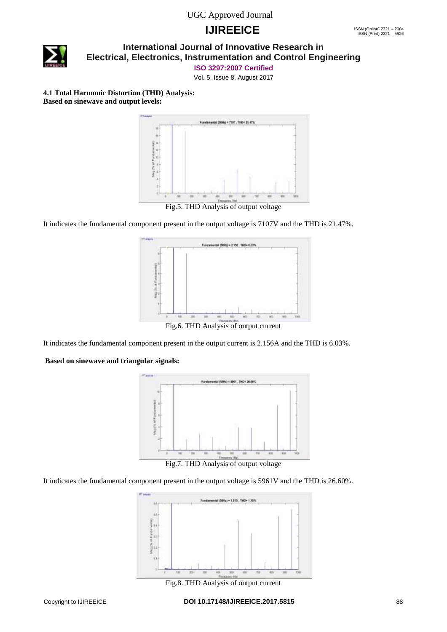# **IJIREEICE ISSN** (Online) 2321 – 2004



### **International Journal of Innovative Research in Electrical, Electronics, Instrumentation and Control Engineering**

**ISO 3297:2007 Certified**

Vol. 5, Issue 8, August 2017

**4.1 Total Harmonic Distortion (THD) Analysis: Based on sinewave and output levels:**



Fig.5. THD Analysis of output voltage

It indicates the fundamental component present in the output voltage is 7107V and the THD is 21.47%.



Fig.6. THD Analysis of output current

It indicates the fundamental component present in the output current is 2.156A and the THD is 6.03%.

#### **Based on sinewave and triangular signals:**



Fig.7. THD Analysis of output voltage

It indicates the fundamental component present in the output voltage is 5961V and the THD is 26.60%.



Fig.8. THD Analysis of output current